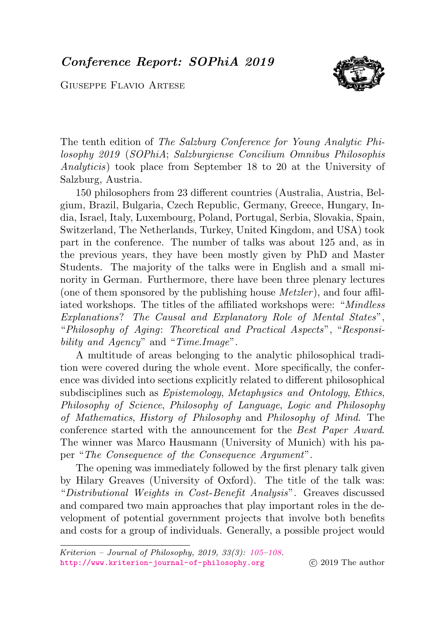<span id="page-0-0"></span>Conference Report: SOPhiA 2019

Giuseppe Flavio Artese



The tenth edition of The Salzburg Conference for Young Analytic Philosophy 2019 (SOPhiA; Salzburgiense Concilium Omnibus Philosophis Analyticis) took place from September 18 to 20 at the University of Salzburg, Austria.

150 philosophers from 23 different countries (Australia, Austria, Belgium, Brazil, Bulgaria, Czech Republic, Germany, Greece, Hungary, India, Israel, Italy, Luxembourg, Poland, Portugal, Serbia, Slovakia, Spain, Switzerland, The Netherlands, Turkey, United Kingdom, and USA) took part in the conference. The number of talks was about 125 and, as in the previous years, they have been mostly given by PhD and Master Students. The majority of the talks were in English and a small minority in German. Furthermore, there have been three plenary lectures (one of them sponsored by the publishing house  $Metzler$ ), and four affiliated workshops. The titles of the affiliated workshops were: "Mindless Explanations? The Causal and Explanatory Role of Mental States", "Philosophy of Aging: Theoretical and Practical Aspects", "Responsibility and Agency" and "Time.Image".

A multitude of areas belonging to the analytic philosophical tradition were covered during the whole event. More specifically, the conference was divided into sections explicitly related to different philosophical subdisciplines such as *Epistemology*, *Metaphysics and Ontology*, *Ethics*, Philosophy of Science, Philosophy of Language, Logic and Philosophy of Mathematics, History of Philosophy and Philosophy of Mind. The conference started with the announcement for the Best Paper Award. The winner was Marco Hausmann (University of Munich) with his paper "The Consequence of the Consequence Argument".

The opening was immediately followed by the first plenary talk given by Hilary Greaves (University of Oxford). The title of the talk was: "Distributional Weights in Cost-Benefit Analysis". Greaves discussed and compared two main approaches that play important roles in the development of potential government projects that involve both benefits and costs for a group of individuals. Generally, a possible project would

Kriterion – Journal of Philosophy, 2019, 33(3): [105–](#page-0-0)[108.](#page-3-0) <http://www.kriterion-journal-of-philosophy.org> (c) 2019 The author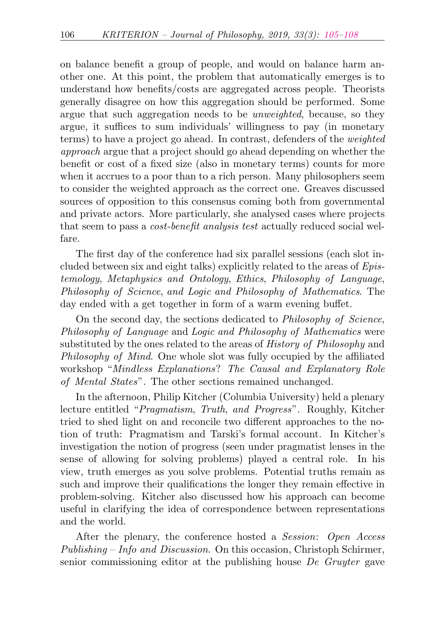on balance benefit a group of people, and would on balance harm another one. At this point, the problem that automatically emerges is to understand how benefits/costs are aggregated across people. Theorists generally disagree on how this aggregation should be performed. Some argue that such aggregation needs to be unweighted, because, so they argue, it suffices to sum individuals' willingness to pay (in monetary terms) to have a project go ahead. In contrast, defenders of the weighted approach argue that a project should go ahead depending on whether the benefit or cost of a fixed size (also in monetary terms) counts for more when it accrues to a poor than to a rich person. Many philosophers seem to consider the weighted approach as the correct one. Greaves discussed sources of opposition to this consensus coming both from governmental and private actors. More particularly, she analysed cases where projects that seem to pass a cost-benefit analysis test actually reduced social welfare.

The first day of the conference had six parallel sessions (each slot included between six and eight talks) explicitly related to the areas of Epistemology, Metaphysics and Ontology, Ethics, Philosophy of Language, Philosophy of Science, and Logic and Philosophy of Mathematics. The day ended with a get together in form of a warm evening buffet.

On the second day, the sections dedicated to Philosophy of Science, Philosophy of Language and Logic and Philosophy of Mathematics were substituted by the ones related to the areas of *History of Philosophy* and Philosophy of Mind. One whole slot was fully occupied by the affiliated workshop "Mindless Explanations? The Causal and Explanatory Role of Mental States". The other sections remained unchanged.

In the afternoon, Philip Kitcher (Columbia University) held a plenary lecture entitled "Pragmatism, Truth, and Progress". Roughly, Kitcher tried to shed light on and reconcile two different approaches to the notion of truth: Pragmatism and Tarski's formal account. In Kitcher's investigation the notion of progress (seen under pragmatist lenses in the sense of allowing for solving problems) played a central role. In his view, truth emerges as you solve problems. Potential truths remain as such and improve their qualifications the longer they remain effective in problem-solving. Kitcher also discussed how his approach can become useful in clarifying the idea of correspondence between representations and the world.

After the plenary, the conference hosted a *Session:* Open *Access* Publishing – Info and Discussion. On this occasion, Christoph Schirmer, senior commissioning editor at the publishing house De Gruyter gave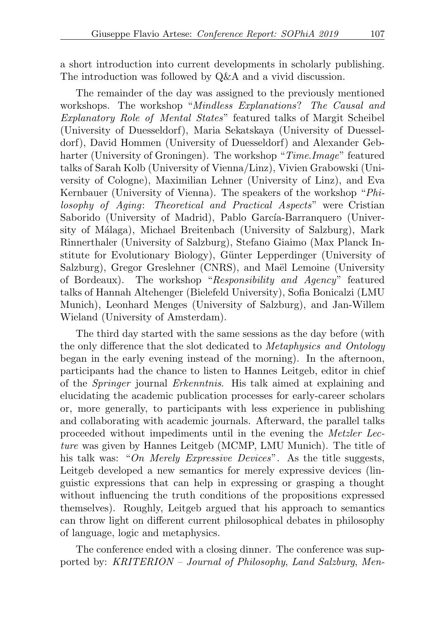a short introduction into current developments in scholarly publishing. The introduction was followed by Q&A and a vivid discussion.

The remainder of the day was assigned to the previously mentioned workshops. The workshop "Mindless Explanations? The Causal and Explanatory Role of Mental States" featured talks of Margit Scheibel (University of Duesseldorf), Maria Sekatskaya (University of Duesseldorf), David Hommen (University of Duesseldorf) and Alexander Gebharter (University of Groningen). The workshop "Time.Image" featured talks of Sarah Kolb (University of Vienna/Linz), Vivien Grabowski (University of Cologne), Maximilian Lehner (University of Linz), and Eva Kernbauer (University of Vienna). The speakers of the workshop "Philosophy of Aging: Theoretical and Practical Aspects" were Cristian Saborido (University of Madrid), Pablo García-Barranquero (University of Málaga), Michael Breitenbach (University of Salzburg), Mark Rinnerthaler (University of Salzburg), Stefano Giaimo (Max Planck Institute for Evolutionary Biology), Günter Lepperdinger (University of Salzburg), Gregor Greslehner (CNRS), and Maël Lemoine (University of Bordeaux). The workshop "Responsibility and Agency" featured talks of Hannah Altehenger (Bielefeld University), Sofia Bonicalzi (LMU Munich), Leonhard Menges (University of Salzburg), and Jan-Willem Wieland (University of Amsterdam).

The third day started with the same sessions as the day before (with the only difference that the slot dedicated to Metaphysics and Ontology began in the early evening instead of the morning). In the afternoon, participants had the chance to listen to Hannes Leitgeb, editor in chief of the Springer journal Erkenntnis. His talk aimed at explaining and elucidating the academic publication processes for early-career scholars or, more generally, to participants with less experience in publishing and collaborating with academic journals. Afterward, the parallel talks proceeded without impediments until in the evening the Metzler Lecture was given by Hannes Leitgeb (MCMP, LMU Munich). The title of his talk was: "On Merely Expressive Devices". As the title suggests, Leitgeb developed a new semantics for merely expressive devices (linguistic expressions that can help in expressing or grasping a thought without influencing the truth conditions of the propositions expressed themselves). Roughly, Leitgeb argued that his approach to semantics can throw light on different current philosophical debates in philosophy of language, logic and metaphysics.

The conference ended with a closing dinner. The conference was supported by: KRITERION – Journal of Philosophy, Land Salzburg, Men